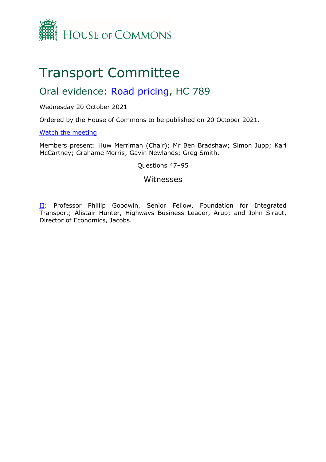

# Transport Committee

## Oral evidence: [Road](https://committees.parliament.uk/work/1549/road-pricing/) [pricing,](https://committees.parliament.uk/work/1549/road-pricing/) HC 789

## Wednesday 20 October 2021

Ordered by the House of Commons to be published on 20 October 2021.

## [Watch](https://parliamentlive.tv/event/index/86868b5f-effe-40d5-9ac7-2d74a7237fe0?in=10:28:55) [the](https://parliamentlive.tv/event/index/86868b5f-effe-40d5-9ac7-2d74a7237fe0?in=10:28:55) [meeting](https://parliamentlive.tv/event/index/86868b5f-effe-40d5-9ac7-2d74a7237fe0?in=10:28:55)

Members present: Huw Merriman (Chair); Mr Ben Bradshaw; Simon Jupp; Karl McCartney; Grahame Morris; Gavin Newlands; Greg Smith.

## Questions 47–95

## Witnesses

II: Professor Phillip Goodwin, Senior Fellow, Foundation for Integrated Transport; Alistair Hunter, Highways Business Leader, Arup; and John Siraut, Director of Economics, Jacobs.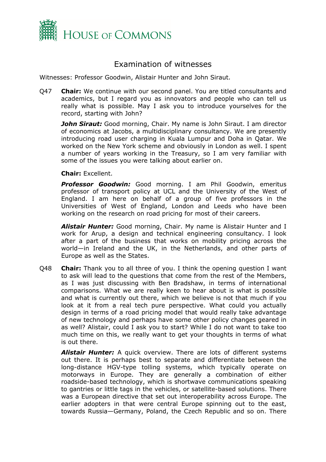

## Examination of witnesses

Witnesses: Professor Goodwin, Alistair Hunter and John Siraut.

Q47 **Chair:** We continue with our second panel. You are titled consultants and academics, but I regard you as innovators and people who can tell us really what is possible. May I ask you to introduce yourselves for the record, starting with John?

*John Siraut:* Good morning, Chair. My name is John Siraut. I am director of economics at Jacobs, a multidisciplinary consultancy. We are presently introducing road user charging in Kuala Lumpur and Doha in Qatar. We worked on the New York scheme and obviously in London as well. I spent a number of years working in the Treasury, so I am very familiar with some of the issues you were talking about earlier on.

**Chair:** Excellent.

*Professor Goodwin:* Good morning. I am Phil Goodwin, emeritus professor of transport policy at UCL and the University of the West of England. I am here on behalf of a group of five professors in the Universities of West of England, London and Leeds who have been working on the research on road pricing for most of their careers.

*Alistair Hunter:* Good morning, Chair. My name is Alistair Hunter and I work for Arup, a design and technical engineering consultancy. I look after a part of the business that works on mobility pricing across the world—in Ireland and the UK, in the Netherlands, and other parts of Europe as well as the States.

Q48 **Chair:** Thank you to all three of you. I think the opening question I want to ask will lead to the questions that come from the rest of the Members, as I was just discussing with Ben Bradshaw, in terms of international comparisons. What we are really keen to hear about is what is possible and what is currently out there, which we believe is not that much if you look at it from a real tech pure perspective. What could you actually design in terms of a road pricing model that would really take advantage of new technology and perhaps have some other policy changes geared in as well? Alistair, could I ask you to start? While I do not want to take too much time on this, we really want to get your thoughts in terms of what is out there.

*Alistair Hunter:* A quick overview. There are lots of different systems out there. It is perhaps best to separate and differentiate between the long-distance HGV-type tolling systems, which typically operate on motorways in Europe. They are generally a combination of either roadside-based technology, which is shortwave communications speaking to gantries or little tags in the vehicles, or satellite-based solutions. There was a European directive that set out interoperability across Europe. The earlier adopters in that were central Europe spinning out to the east, towards Russia—Germany, Poland, the Czech Republic and so on. There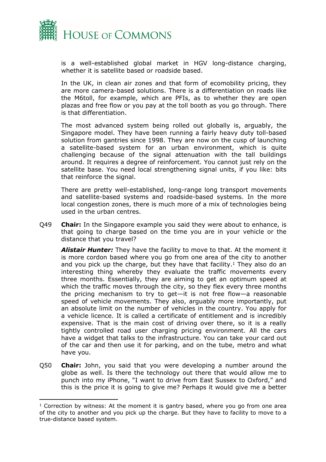

is a well-established global market in HGV long-distance charging, whether it is satellite based or roadside based.

In the UK, in clean air zones and that form of ecomobility pricing, they are more camera-based solutions. There is a differentiation on roads like the M6toll, for example, which are PFIs, as to whether they are open plazas and free flow or you pay at the toll booth as you go through. There is that differentiation.

The most advanced system being rolled out globally is, arguably, the Singapore model. They have been running a fairly heavy duty toll-based solution from gantries since 1998. They are now on the cusp of launching a satellite-based system for an urban environment, which is quite challenging because of the signal attenuation with the tall buildings around. It requires a degree of reinforcement. You cannot just rely on the satellite base. You need local strengthening signal units, if you like: bits that reinforce the signal.

There are pretty well-established, long-range long transport movements and satellite-based systems and roadside-based systems. In the more local congestion zones, there is much more of a mix of technologies being used in the urban centres.

Q49 **Chair:** In the Singapore example you said they were about to enhance, is that going to charge based on the time you are in your vehicle or the distance that you travel?

*Alistair Hunter:* They have the facility to move to that. At the moment it is more cordon based where you go from one area of the city to another and you pick up the charge, but they have that facility.<sup>1</sup> They also do an interesting thing whereby they evaluate the traffic movements every three months. Essentially, they are aiming to get an optimum speed at which the traffic moves through the city, so they flex every three months the pricing mechanism to try to get—it is not free flow—a reasonable speed of vehicle movements. They also, arguably more importantly, put an absolute limit on the number of vehicles in the country. You apply for a vehicle licence. It is called a certificate of entitlement and is incredibly expensive. That is the main cost of driving over there, so it is a really tightly controlled road user charging pricing environment. All the cars have a widget that talks to the infrastructure. You can take your card out of the car and then use it for parking, and on the tube, metro and what have you.

Q50 **Chair:** John, you said that you were developing a number around the globe as well. Is there the technology out there that would allow me to punch into my iPhone, "I want to drive from East Sussex to Oxford," and this is the price it is going to give me? Perhaps it would give me a better

 $1$  Correction by witness: At the moment it is gantry based, where you go from one area of the city to another and you pick up the charge. But they have to facility to move to a true-distance based system.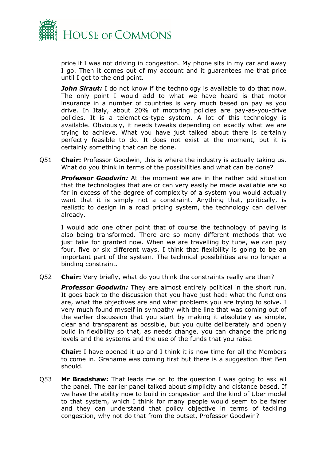

price if I was not driving in congestion. My phone sits in my car and away I go. Then it comes out of my account and it guarantees me that price until I get to the end point.

*John Siraut:* I do not know if the technology is available to do that now. The only point I would add to what we have heard is that motor insurance in a number of countries is very much based on pay as you drive. In Italy, about 20% of motoring policies are pay-as-you-drive policies. It is a telematics-type system. A lot of this technology is available. Obviously, it needs tweaks depending on exactly what we are trying to achieve. What you have just talked about there is certainly perfectly feasible to do. It does not exist at the moment, but it is certainly something that can be done.

Q51 **Chair:** Professor Goodwin, this is where the industry is actually taking us. What do you think in terms of the possibilities and what can be done?

*Professor Goodwin:* At the moment we are in the rather odd situation that the technologies that are or can very easily be made available are so far in excess of the degree of complexity of a system you would actually want that it is simply not a constraint. Anything that, politically, is realistic to design in a road pricing system, the technology can deliver already.

I would add one other point that of course the technology of paying is also being transformed. There are so many different methods that we just take for granted now. When we are travelling by tube, we can pay four, five or six different ways. I think that flexibility is going to be an important part of the system. The technical possibilities are no longer a binding constraint.

Q52 **Chair:** Very briefly, what do you think the constraints really are then?

**Professor Goodwin:** They are almost entirely political in the short run. It goes back to the discussion that you have just had: what the functions are, what the objectives are and what problems you are trying to solve. I very much found myself in sympathy with the line that was coming out of the earlier discussion that you start by making it absolutely as simple, clear and transparent as possible, but you quite deliberately and openly build in flexibility so that, as needs change, you can change the pricing levels and the systems and the use of the funds that you raise.

**Chair:** I have opened it up and I think it is now time for all the Members to come in. Grahame was coming first but there is a suggestion that Ben should.

Q53 **Mr Bradshaw:** That leads me on to the question I was going to ask all the panel. The earlier panel talked about simplicity and distance based. If we have the ability now to build in congestion and the kind of Uber model to that system, which I think for many people would seem to be fairer and they can understand that policy objective in terms of tackling congestion, why not do that from the outset, Professor Goodwin?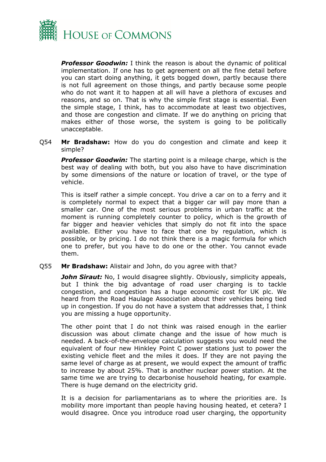

*Professor Goodwin:* I think the reason is about the dynamic of political implementation. If one has to get agreement on all the fine detail before you can start doing anything, it gets bogged down, partly because there is not full agreement on those things, and partly because some people who do not want it to happen at all will have a plethora of excuses and reasons, and so on. That is why the simple first stage is essential. Even the simple stage, I think, has to accommodate at least two objectives, and those are congestion and climate. If we do anything on pricing that makes either of those worse, the system is going to be politically unacceptable.

Q54 **Mr Bradshaw:** How do you do congestion and climate and keep it simple?

*Professor Goodwin:* The starting point is a mileage charge, which is the best way of dealing with both, but you also have to have discrimination by some dimensions of the nature or location of travel, or the type of vehicle.

This is itself rather a simple concept. You drive a car on to a ferry and it is completely normal to expect that a bigger car will pay more than a smaller car. One of the most serious problems in urban traffic at the moment is running completely counter to policy, which is the growth of far bigger and heavier vehicles that simply do not fit into the space available. Either you have to face that one by regulation, which is possible, or by pricing. I do not think there is a magic formula for which one to prefer, but you have to do one or the other. You cannot evade them.

Q55 **Mr Bradshaw:** Alistair and John, do you agree with that?

**John Siraut:** No, I would disagree slightly. Obviously, simplicity appeals, but I think the big advantage of road user charging is to tackle congestion, and congestion has a huge economic cost for UK plc. We heard from the Road Haulage Association about their vehicles being tied up in congestion. If you do not have a system that addresses that, I think you are missing a huge opportunity.

The other point that I do not think was raised enough in the earlier discussion was about climate change and the issue of how much is needed. A back-of-the-envelope calculation suggests you would need the equivalent of four new Hinkley Point C power stations just to power the existing vehicle fleet and the miles it does. If they are not paying the same level of charge as at present, we would expect the amount of traffic to increase by about 25%. That is another nuclear power station. At the same time we are trying to decarbonise household heating, for example. There is huge demand on the electricity grid.

It is a decision for parliamentarians as to where the priorities are. Is mobility more important than people having housing heated, et cetera? I would disagree. Once you introduce road user charging, the opportunity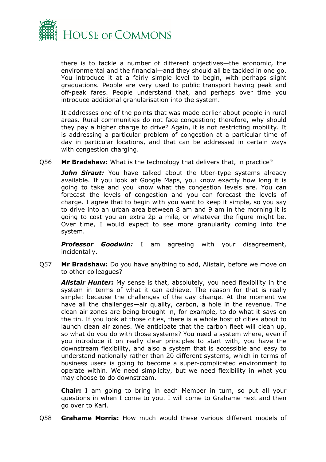

there is to tackle a number of different objectives—the economic, the environmental and the financial—and they should all be tackled in one go. You introduce it at a fairly simple level to begin, with perhaps slight graduations. People are very used to public transport having peak and off-peak fares. People understand that, and perhaps over time you introduce additional granularisation into the system.

It addresses one of the points that was made earlier about people in rural areas. Rural communities do not face congestion; therefore, why should they pay a higher charge to drive? Again, it is not restricting mobility. It is addressing a particular problem of congestion at a particular time of day in particular locations, and that can be addressed in certain ways with congestion charging.

Q56 **Mr Bradshaw:** What is the technology that delivers that, in practice?

**John Siraut:** You have talked about the Uber-type systems already available. If you look at Google Maps, you know exactly how long it is going to take and you know what the congestion levels are. You can forecast the levels of congestion and you can forecast the levels of charge. I agree that to begin with you want to keep it simple, so you say to drive into an urban area between 8 am and 9 am in the morning it is going to cost you an extra 2p a mile, or whatever the figure might be. Over time, I would expect to see more granularity coming into the system.

*Professor Goodwin:* I am agreeing with your disagreement, incidentally.

Q57 **Mr Bradshaw:** Do you have anything to add, Alistair, before we move on to other colleagues?

*Alistair Hunter:* My sense is that, absolutely, you need flexibility in the system in terms of what it can achieve. The reason for that is really simple: because the challenges of the day change. At the moment we have all the challenges—air quality, carbon, a hole in the revenue. The clean air zones are being brought in, for example, to do what it says on the tin. If you look at those cities, there is a whole host of cities about to launch clean air zones. We anticipate that the carbon fleet will clean up, so what do you do with those systems? You need a system where, even if you introduce it on really clear principles to start with, you have the downstream flexibility, and also a system that is accessible and easy to understand nationally rather than 20 different systems, which in terms of business users is going to become a super-complicated environment to operate within. We need simplicity, but we need flexibility in what you may choose to do downstream.

**Chair:** I am going to bring in each Member in turn, so put all your questions in when I come to you. I will come to Grahame next and then go over to Karl.

Q58 **Grahame Morris:** How much would these various different models of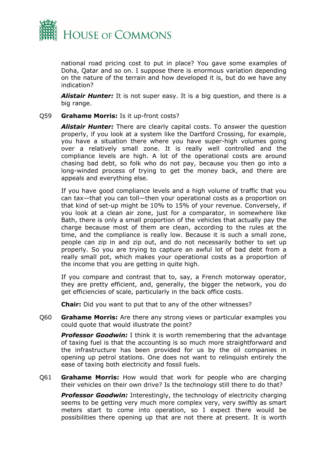

national road pricing cost to put in place? You gave some examples of Doha, Qatar and so on. I suppose there is enormous variation depending on the nature of the terrain and how developed it is, but do we have any indication?

*Alistair Hunter:* It is not super easy. It is a big question, and there is a big range.

#### Q59 **Grahame Morris:** Is it up-front costs?

*Alistair Hunter:* There are clearly capital costs. To answer the question properly, if you look at a system like the Dartford Crossing, for example, you have a situation there where you have super-high volumes going over a relatively small zone. It is really well controlled and the compliance levels are high. A lot of the operational costs are around chasing bad debt, so folk who do not pay, because you then go into a long-winded process of trying to get the money back, and there are appeals and everything else.

If you have good compliance levels and a high volume of traffic that you can tax—that you can toll—then your operational costs as a proportion on that kind of set-up might be 10% to 15% of your revenue. Conversely, if you look at a clean air zone, just for a comparator, in somewhere like Bath, there is only a small proportion of the vehicles that actually pay the charge because most of them are clean, according to the rules at the time, and the compliance is really low. Because it is such a small zone, people can zip in and zip out, and do not necessarily bother to set up properly. So you are trying to capture an awful lot of bad debt from a really small pot, which makes your operational costs as a proportion of the income that you are getting in quite high.

If you compare and contrast that to, say, a French motorway operator, they are pretty efficient, and, generally, the bigger the network, you do get efficiencies of scale, particularly in the back office costs.

**Chair:** Did you want to put that to any of the other witnesses?

Q60 **Grahame Morris:** Are there any strong views or particular examples you could quote that would illustrate the point?

*Professor Goodwin:* I think it is worth remembering that the advantage of taxing fuel is that the accounting is so much more straightforward and the infrastructure has been provided for us by the oil companies in opening up petrol stations. One does not want to relinquish entirely the ease of taxing both electricity and fossil fuels.

Q61 **Grahame Morris:** How would that work for people who are charging their vehicles on their own drive? Is the technology still there to do that?

*Professor Goodwin:* Interestingly, the technology of electricity charging seems to be getting very much more complex very, very swiftly as smart meters start to come into operation, so I expect there would be possibilities there opening up that are not there at present. It is worth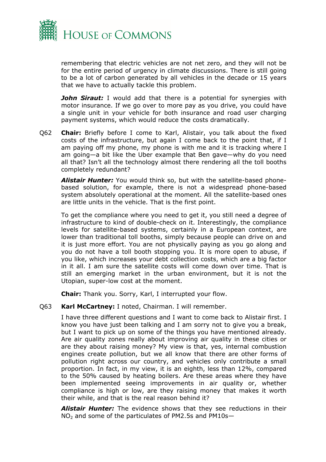

remembering that electric vehicles are not net zero, and they will not be for the entire period of urgency in climate discussions. There is still going to be a lot of carbon generated by all vehicles in the decade or 15 years that we have to actually tackle this problem.

*John Siraut:* I would add that there is a potential for synergies with motor insurance. If we go over to more pay as you drive, you could have a single unit in your vehicle for both insurance and road user charging payment systems, which would reduce the costs dramatically.

Q62 **Chair:** Briefly before I come to Karl, Alistair, you talk about the fixed costs of the infrastructure, but again I come back to the point that, if I am paying off my phone, my phone is with me and it is tracking where I am going—a bit like the Uber example that Ben gave—why do you need all that? Isn't all the technology almost there rendering all the toll booths completely redundant?

*Alistair Hunter:* You would think so, but with the satellite-based phonebased solution, for example, there is not a widespread phone-based system absolutely operational at the moment. All the satellite-based ones are little units in the vehicle. That is the first point.

To get the compliance where you need to get it, you still need a degree of infrastructure to kind of double-check on it. Interestingly, the compliance levels for satellite-based systems, certainly in a European context, are lower than traditional toll booths, simply because people can drive on and it is just more effort. You are not physically paying as you go along and you do not have a toll booth stopping you. It is more open to abuse, if you like, which increases your debt collection costs, which are a big factor in it all. I am sure the satellite costs will come down over time. That is still an emerging market in the urban environment, but it is not the Utopian, super-low cost at the moment.

**Chair:** Thank you. Sorry, Karl, I interrupted your flow.

### Q63 **Karl McCartney:** I noted, Chairman. I will remember.

I have three different questions and I want to come back to Alistair first. I know you have just been talking and I am sorry not to give you a break, but I want to pick up on some of the things you have mentioned already. Are air quality zones really about improving air quality in these cities or are they about raising money? My view is that, yes, internal combustion engines create pollution, but we all know that there are other forms of pollution right across our country, and vehicles only contribute a small proportion. In fact, in my view, it is an eighth, less than 12%, compared to the 50% caused by heating boilers. Are these areas where they have been implemented seeing improvements in air quality or, whether compliance is high or low, are they raising money that makes it worth their while, and that is the real reason behind it?

*Alistair Hunter:* The evidence shows that they see reductions in their NO<sup>2</sup> and some of the particulates of PM2.5s and PM10s—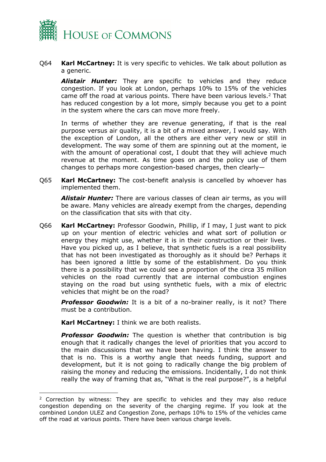

Q64 **Karl McCartney:** It is very specific to vehicles. We talk about pollution as a generic.

*Alistair Hunter:* They are specific to vehicles and they reduce congestion. If you look at London, perhaps 10% to 15% of the vehicles came off the road at various points. There have been various levels.<sup>2</sup> That has reduced congestion by a lot more, simply because you get to a point in the system where the cars can move more freely.

In terms of whether they are revenue generating, if that is the real purpose versus air quality, it is a bit of a mixed answer, I would say. With the exception of London, all the others are either very new or still in development. The way some of them are spinning out at the moment, ie with the amount of operational cost, I doubt that they will achieve much revenue at the moment. As time goes on and the policy use of them changes to perhaps more congestion-based charges, then clearly—

Q65 **Karl McCartney:** The cost-benefit analysis is cancelled by whoever has implemented them.

*Alistair Hunter:* There are various classes of clean air terms, as you will be aware. Many vehicles are already exempt from the charges, depending on the classification that sits with that city.

Q66 **Karl McCartney:** Professor Goodwin, Phillip, if I may, I just want to pick up on your mention of electric vehicles and what sort of pollution or energy they might use, whether it is in their construction or their lives. Have you picked up, as I believe, that synthetic fuels is a real possibility that has not been investigated as thoroughly as it should be? Perhaps it has been ignored a little by some of the establishment. Do you think there is a possibility that we could see a proportion of the circa 35 million vehicles on the road currently that are internal combustion engines staying on the road but using synthetic fuels, with a mix of electric vehicles that might be on the road?

*Professor Goodwin:* It is a bit of a no-brainer really, is it not? There must be a contribution.

**Karl McCartney:** I think we are both realists.

*Professor Goodwin:* The question is whether that contribution is big enough that it radically changes the level of priorities that you accord to the main discussions that we have been having. I think the answer to that is no. This is a worthy angle that needs funding, support and development, but it is not going to radically change the big problem of raising the money and reducing the emissions. Incidentally, I do not think really the way of framing that as, "What is the real purpose?", is a helpful

<sup>&</sup>lt;sup>2</sup> Correction by witness: They are specific to vehicles and they may also reduce congestion depending on the severity of the charging regime. If you look at the combined London ULEZ and Congestion Zone, perhaps 10% to 15% of the vehicles came off the road at various points. There have been various charge levels.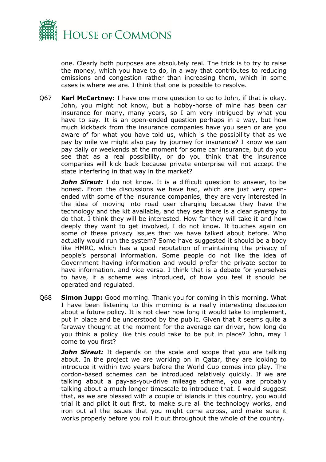

one. Clearly both purposes are absolutely real. The trick is to try to raise the money, which you have to do, in a way that contributes to reducing emissions and congestion rather than increasing them, which in some cases is where we are. I think that one is possible to resolve.

Q67 **Karl McCartney:** I have one more question to go to John, if that is okay. John, you might not know, but a hobby-horse of mine has been car insurance for many, many years, so I am very intrigued by what you have to say. It is an open-ended question perhaps in a way, but how much kickback from the insurance companies have you seen or are you aware of for what you have told us, which is the possibility that as we pay by mile we might also pay by journey for insurance? I know we can pay daily or weekends at the moment for some car insurance, but do you see that as a real possibility, or do you think that the insurance companies will kick back because private enterprise will not accept the state interfering in that way in the market?

**John Siraut:** I do not know. It is a difficult question to answer, to be honest. From the discussions we have had, which are just very openended with some of the insurance companies, they are very interested in the idea of moving into road user charging because they have the technology and the kit available, and they see there is a clear synergy to do that. I think they will be interested. How far they will take it and how deeply they want to get involved, I do not know. It touches again on some of these privacy issues that we have talked about before. Who actually would run the system? Some have suggested it should be a body like HMRC, which has a good reputation of maintaining the privacy of people's personal information. Some people do not like the idea of Government having information and would prefer the private sector to have information, and vice versa. I think that is a debate for yourselves to have, if a scheme was introduced, of how you feel it should be operated and regulated.

Q68 **Simon Jupp:** Good morning. Thank you for coming in this morning. What I have been listening to this morning is a really interesting discussion about a future policy. It is not clear how long it would take to implement, put in place and be understood by the public. Given that it seems quite a faraway thought at the moment for the average car driver, how long do you think a policy like this could take to be put in place? John, may I come to you first?

*John Siraut:* It depends on the scale and scope that you are talking about. In the project we are working on in Qatar, they are looking to introduce it within two years before the World Cup comes into play. The cordon-based schemes can be introduced relatively quickly. If we are talking about a pay-as-you-drive mileage scheme, you are probably talking about a much longer timescale to introduce that. I would suggest that, as we are blessed with a couple of islands in this country, you would trial it and pilot it out first, to make sure all the technology works, and iron out all the issues that you might come across, and make sure it works properly before you roll it out throughout the whole of the country.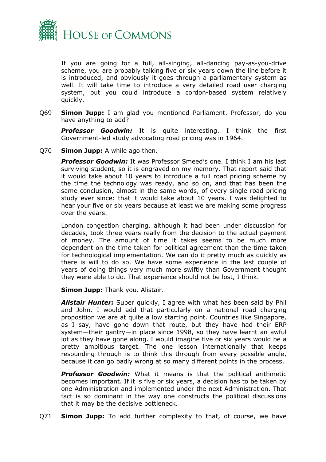

If you are going for a full, all-singing, all-dancing pay-as-you-drive scheme, you are probably talking five or six years down the line before it is introduced, and obviously it goes through a parliamentary system as well. It will take time to introduce a very detailed road user charging system, but you could introduce a cordon-based system relatively quickly.

Q69 **Simon Jupp:** I am glad you mentioned Parliament. Professor, do you have anything to add?

*Professor Goodwin:* It is quite interesting. I think the first Government-led study advocating road pricing was in 1964.

Q70 **Simon Jupp:** A while ago then.

*Professor Goodwin:* It was Professor Smeed's one. I think I am his last surviving student, so it is engraved on my memory. That report said that it would take about 10 years to introduce a full road pricing scheme by the time the technology was ready, and so on, and that has been the same conclusion, almost in the same words, of every single road pricing study ever since: that it would take about 10 years. I was delighted to hear your five or six years because at least we are making some progress over the years.

London congestion charging, although it had been under discussion for decades, took three years really from the decision to the actual payment of money. The amount of time it takes seems to be much more dependent on the time taken for political agreement than the time taken for technological implementation. We can do it pretty much as quickly as there is will to do so. We have some experience in the last couple of years of doing things very much more swiftly than Government thought they were able to do. That experience should not be lost, I think.

**Simon Jupp:** Thank you. Alistair.

*Alistair Hunter:* Super quickly, I agree with what has been said by Phil and John. I would add that particularly on a national road charging proposition we are at quite a low starting point. Countries like Singapore, as I say, have gone down that route, but they have had their ERP system—their gantry—in place since 1998, so they have learnt an awful lot as they have gone along. I would imagine five or six years would be a pretty ambitious target. The one lesson internationally that keeps resounding through is to think this through from every possible angle, because it can go badly wrong at so many different points in the process.

*Professor Goodwin:* What it means is that the political arithmetic becomes important. If it is five or six years, a decision has to be taken by one Administration and implemented under the next Administration. That fact is so dominant in the way one constructs the political discussions that it may be the decisive bottleneck.

Q71 **Simon Jupp:** To add further complexity to that, of course, we have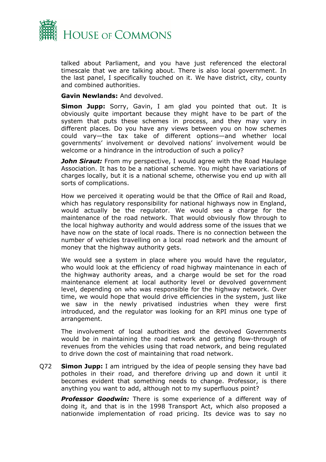

talked about Parliament, and you have just referenced the electoral timescale that we are talking about. There is also local government. In the last panel, I specifically touched on it. We have district, city, county and combined authorities.

**Gavin Newlands:** And devolved.

**Simon Jupp:** Sorry, Gavin, I am glad you pointed that out. It is obviously quite important because they might have to be part of the system that puts these schemes in process, and they may vary in different places. Do you have any views between you on how schemes could vary—the tax take of different options—and whether local governments' involvement or devolved nations' involvement would be welcome or a hindrance in the introduction of such a policy?

*John Siraut:* From my perspective, I would agree with the Road Haulage Association. It has to be a national scheme. You might have variations of charges locally, but it is a national scheme, otherwise you end up with all sorts of complications.

How we perceived it operating would be that the Office of Rail and Road, which has regulatory responsibility for national highways now in England, would actually be the regulator. We would see a charge for the maintenance of the road network. That would obviously flow through to the local highway authority and would address some of the issues that we have now on the state of local roads. There is no connection between the number of vehicles travelling on a local road network and the amount of money that the highway authority gets.

We would see a system in place where you would have the regulator, who would look at the efficiency of road highway maintenance in each of the highway authority areas, and a charge would be set for the road maintenance element at local authority level or devolved government level, depending on who was responsible for the highway network. Over time, we would hope that would drive efficiencies in the system, just like we saw in the newly privatised industries when they were first introduced, and the regulator was looking for an RPI minus one type of arrangement.

The involvement of local authorities and the devolved Governments would be in maintaining the road network and getting flow-through of revenues from the vehicles using that road network, and being regulated to drive down the cost of maintaining that road network.

Q72 **Simon Jupp:** I am intrigued by the idea of people sensing they have bad potholes in their road, and therefore driving up and down it until it becomes evident that something needs to change. Professor, is there anything you want to add, although not to my superfluous point?

**Professor Goodwin:** There is some experience of a different way of doing it, and that is in the 1998 Transport Act, which also proposed a nationwide implementation of road pricing. Its device was to say no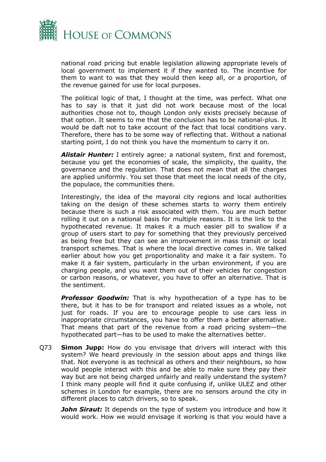

national road pricing but enable legislation allowing appropriate levels of local government to implement it if they wanted to. The incentive for them to want to was that they would then keep all, or a proportion, of the revenue gained for use for local purposes.

The political logic of that, I thought at the time, was perfect. What one has to say is that it just did not work because most of the local authorities chose not to, though London only exists precisely because of that option. It seems to me that the conclusion has to be national-plus. It would be daft not to take account of the fact that local conditions vary. Therefore, there has to be some way of reflecting that. Without a national starting point, I do not think you have the momentum to carry it on.

*Alistair Hunter:* I entirely agree: a national system, first and foremost, because you get the economies of scale, the simplicity, the quality, the governance and the regulation. That does not mean that all the charges are applied uniformly. You set those that meet the local needs of the city, the populace, the communities there.

Interestingly, the idea of the mayoral city regions and local authorities taking on the design of these schemes starts to worry them entirely because there is such a risk associated with them. You are much better rolling it out on a national basis for multiple reasons. It is the link to the hypothecated revenue. It makes it a much easier pill to swallow if a group of users start to pay for something that they previously perceived as being free but they can see an improvement in mass transit or local transport schemes. That is where the local directive comes in. We talked earlier about how you get proportionality and make it a fair system. To make it a fair system, particularly in the urban environment, if you are charging people, and you want them out of their vehicles for congestion or carbon reasons, or whatever, you have to offer an alternative. That is the sentiment.

**Professor Goodwin:** That is why hypothecation of a type has to be there, but it has to be for transport and related issues as a whole, not just for roads. If you are to encourage people to use cars less in inappropriate circumstances, you have to offer them a better alternative. That means that part of the revenue from a road pricing system—the hypothecated part—has to be used to make the alternatives better.

Q73 **Simon Jupp:** How do you envisage that drivers will interact with this system? We heard previously in the session about apps and things like that. Not everyone is as technical as others and their neighbours, so how would people interact with this and be able to make sure they pay their way but are not being charged unfairly and really understand the system? I think many people will find it quite confusing if, unlike ULEZ and other schemes in London for example, there are no sensors around the city in different places to catch drivers, so to speak.

*John Siraut:* It depends on the type of system you introduce and how it would work. How we would envisage it working is that you would have a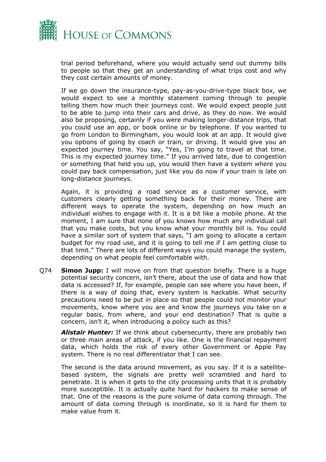

trial period beforehand, where you would actually send out dummy bills to people so that they get an understanding of what trips cost and why they cost certain amounts of money.

If we go down the insurance-type, pay-as-you-drive-type black box, we would expect to see a monthly statement coming through to people telling them how much their journeys cost. We would expect people just to be able to jump into their cars and drive, as they do now. We would also be proposing, certainly if you were making longer-distance trips, that you could use an app, or book online or by telephone. If you wanted to go from London to Birmingham, you would look at an app. It would give you options of going by coach or train, or driving. It would give you an expected journey time. You say, "Yes, I'm going to travel at that time. This is my expected journey time." If you arrived late, due to congestion or something that held you up, you would then have a system where you could pay back compensation, just like you do now if your train is late on long-distance journeys.

Again, it is providing a road service as a customer service, with customers clearly getting something back for their money. There are different ways to operate the system, depending on how much an individual wishes to engage with it. It is a bit like a mobile phone. At the moment, I am sure that none of you knows how much any individual call that you make costs, but you know what your monthly bill is. You could have a similar sort of system that says, "I am going to allocate a certain budget for my road use, and it is going to tell me if I am getting close to that limit." There are lots of different ways you could manage the system, depending on what people feel comfortable with.

Q74 **Simon Jupp:** I will move on from that question briefly. There is a huge potential security concern, isn't there, about the use of data and how that data is accessed? If, for example, people can see where you have been, if there is a way of doing that, every system is hackable. What security precautions need to be put in place so that people could not monitor your movements, know where you are and know the journeys you take on a regular basis, from where, and your end destination? That is quite a concern, isn't it, when introducing a policy such as this?

*Alistair Hunter:* If we think about cybersecurity, there are probably two or three main areas of attack, if you like. One is the financial repayment data, which holds the risk of every other Government or Apple Pay system. There is no real differentiator that I can see.

The second is the data around movement, as you say. If it is a satellitebased system, the signals are pretty well scrambled and hard to penetrate. It is when it gets to the city processing units that it is probably more susceptible. It is actually quite hard for hackers to make sense of that. One of the reasons is the pure volume of data coming through. The amount of data coming through is inordinate, so it is hard for them to make value from it.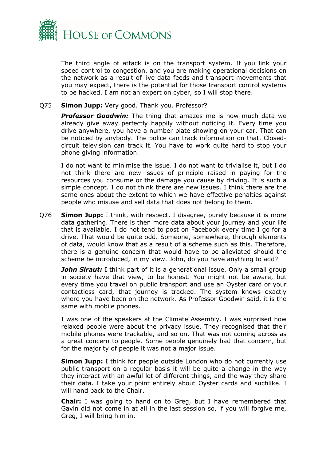

The third angle of attack is on the transport system. If you link your speed control to congestion, and you are making operational decisions on the network as a result of live data feeds and transport movements that you may expect, there is the potential for those transport control systems to be hacked. I am not an expert on cyber, so I will stop there.

#### Q75 **Simon Jupp:** Very good. Thank you. Professor?

**Professor Goodwin:** The thing that amazes me is how much data we already give away perfectly happily without noticing it. Every time you drive anywhere, you have a number plate showing on your car. That can be noticed by anybody. The police can track information on that. Closedcircuit television can track it. You have to work quite hard to stop your phone giving information.

I do not want to minimise the issue. I do not want to trivialise it, but I do not think there are new issues of principle raised in paying for the resources you consume or the damage you cause by driving. It is such a simple concept. I do not think there are new issues. I think there are the same ones about the extent to which we have effective penalties against people who misuse and sell data that does not belong to them.

Q76 **Simon Jupp:** I think, with respect, I disagree, purely because it is more data gathering. There is then more data about your journey and your life that is available. I do not tend to post on Facebook every time I go for a drive. That would be quite odd. Someone, somewhere, through elements of data, would know that as a result of a scheme such as this. Therefore, there is a genuine concern that would have to be alleviated should the scheme be introduced, in my view. John, do you have anything to add?

*John Siraut:* I think part of it is a generational issue. Only a small group in society have that view, to be honest. You might not be aware, but every time you travel on public transport and use an Oyster card or your contactless card, that journey is tracked. The system knows exactly where you have been on the network. As Professor Goodwin said, it is the same with mobile phones.

I was one of the speakers at the Climate Assembly. I was surprised how relaxed people were about the privacy issue. They recognised that their mobile phones were trackable, and so on. That was not coming across as a great concern to people. Some people genuinely had that concern, but for the majority of people it was not a major issue.

**Simon Jupp:** I think for people outside London who do not currently use public transport on a regular basis it will be quite a change in the way they interact with an awful lot of different things, and the way they share their data. I take your point entirely about Oyster cards and suchlike. I will hand back to the Chair.

**Chair:** I was going to hand on to Greg, but I have remembered that Gavin did not come in at all in the last session so, if you will forgive me, Greg, I will bring him in.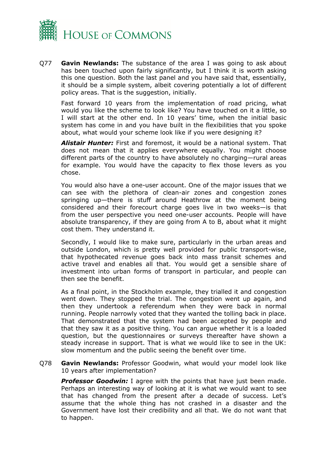

Q77 **Gavin Newlands:** The substance of the area I was going to ask about has been touched upon fairly significantly, but I think it is worth asking this one question. Both the last panel and you have said that, essentially, it should be a simple system, albeit covering potentially a lot of different policy areas. That is the suggestion, initially.

Fast forward 10 years from the implementation of road pricing, what would you like the scheme to look like? You have touched on it a little, so I will start at the other end. In 10 years' time, when the initial basic system has come in and you have built in the flexibilities that you spoke about, what would your scheme look like if you were designing it?

*Alistair Hunter:* First and foremost, it would be a national system. That does not mean that it applies everywhere equally. You might choose different parts of the country to have absolutely no charging—rural areas for example. You would have the capacity to flex those levers as you chose.

You would also have a one-user account. One of the major issues that we can see with the plethora of clean-air zones and congestion zones springing up—there is stuff around Heathrow at the moment being considered and their forecourt charge goes live in two weeks—is that from the user perspective you need one-user accounts. People will have absolute transparency, if they are going from A to B, about what it might cost them. They understand it.

Secondly, I would like to make sure, particularly in the urban areas and outside London, which is pretty well provided for public transport-wise, that hypothecated revenue goes back into mass transit schemes and active travel and enables all that. You would get a sensible share of investment into urban forms of transport in particular, and people can then see the benefit.

As a final point, in the Stockholm example, they trialled it and congestion went down. They stopped the trial. The congestion went up again, and then they undertook a referendum when they were back in normal running. People narrowly voted that they wanted the tolling back in place. That demonstrated that the system had been accepted by people and that they saw it as a positive thing. You can argue whether it is a loaded question, but the questionnaires or surveys thereafter have shown a steady increase in support. That is what we would like to see in the UK: slow momentum and the public seeing the benefit over time.

Q78 **Gavin Newlands:** Professor Goodwin, what would your model look like 10 years after implementation?

*Professor Goodwin:* I agree with the points that have just been made. Perhaps an interesting way of looking at it is what we would want to see that has changed from the present after a decade of success. Let's assume that the whole thing has not crashed in a disaster and the Government have lost their credibility and all that. We do not want that to happen.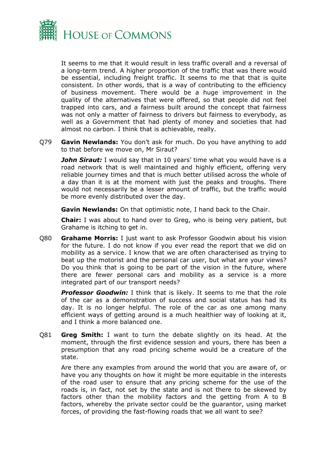

It seems to me that it would result in less traffic overall and a reversal of a long-term trend. A higher proportion of the traffic that was there would be essential, including freight traffic. It seems to me that that is quite consistent. In other words, that is a way of contributing to the efficiency of business movement. There would be a huge improvement in the quality of the alternatives that were offered, so that people did not feel trapped into cars, and a fairness built around the concept that fairness was not only a matter of fairness to drivers but fairness to everybody, as well as a Government that had plenty of money and societies that had almost no carbon. I think that is achievable, really.

Q79 **Gavin Newlands:** You don't ask for much. Do you have anything to add to that before we move on, Mr Siraut?

**John Siraut:** I would say that in 10 years' time what you would have is a road network that is well maintained and highly efficient, offering very reliable journey times and that is much better utilised across the whole of a day than it is at the moment with just the peaks and troughs. There would not necessarily be a lesser amount of traffic, but the traffic would be more evenly distributed over the day.

**Gavin Newlands:** On that optimistic note, I hand back to the Chair.

**Chair:** I was about to hand over to Greg, who is being very patient, but Grahame is itching to get in.

Q80 **Grahame Morris:** I just want to ask Professor Goodwin about his vision for the future. I do not know if you ever read the report that we did on mobility as a service. I know that we are often characterised as trying to beat up the motorist and the personal car user, but what are your views? Do you think that is going to be part of the vision in the future, where there are fewer personal cars and mobility as a service is a more integrated part of our transport needs?

*Professor Goodwin:* I think that is likely. It seems to me that the role of the car as a demonstration of success and social status has had its day. It is no longer helpful. The role of the car as one among many efficient ways of getting around is a much healthier way of looking at it, and I think a more balanced one.

Q81 **Greg Smith:** I want to turn the debate slightly on its head. At the moment, through the first evidence session and yours, there has been a presumption that any road pricing scheme would be a creature of the state.

Are there any examples from around the world that you are aware of, or have you any thoughts on how it might be more equitable in the interests of the road user to ensure that any pricing scheme for the use of the roads is, in fact, not set by the state and is not there to be skewed by factors other than the mobility factors and the getting from A to B factors, whereby the private sector could be the guarantor, using market forces, of providing the fast-flowing roads that we all want to see?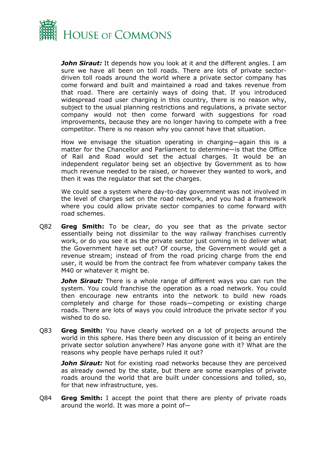

*John Siraut:* It depends how you look at it and the different angles. I am sure we have all been on toll roads. There are lots of private sectordriven toll roads around the world where a private sector company has come forward and built and maintained a road and takes revenue from that road. There are certainly ways of doing that. If you introduced widespread road user charging in this country, there is no reason why, subject to the usual planning restrictions and regulations, a private sector company would not then come forward with suggestions for road improvements, because they are no longer having to compete with a free competitor. There is no reason why you cannot have that situation.

How we envisage the situation operating in charging—again this is a matter for the Chancellor and Parliament to determine—is that the Office of Rail and Road would set the actual charges. It would be an independent regulator being set an objective by Government as to how much revenue needed to be raised, or however they wanted to work, and then it was the regulator that set the charges.

We could see a system where day-to-day government was not involved in the level of charges set on the road network, and you had a framework where you could allow private sector companies to come forward with road schemes.

Q82 **Greg Smith:** To be clear, do you see that as the private sector essentially being not dissimilar to the way railway franchises currently work, or do you see it as the private sector just coming in to deliver what the Government have set out? Of course, the Government would get a revenue stream; instead of from the road pricing charge from the end user, it would be from the contract fee from whatever company takes the M40 or whatever it might be.

**John Siraut:** There is a whole range of different ways you can run the system. You could franchise the operation as a road network. You could then encourage new entrants into the network to build new roads completely and charge for those roads—competing or existing charge roads. There are lots of ways you could introduce the private sector if you wished to do so.

Q83 **Greg Smith:** You have clearly worked on a lot of projects around the world in this sphere. Has there been any discussion of it being an entirely private sector solution anywhere? Has anyone gone with it? What are the reasons why people have perhaps ruled it out?

*John Siraut:* Not for existing road networks because they are perceived as already owned by the state, but there are some examples of private roads around the world that are built under concessions and tolled, so, for that new infrastructure, yes.

Q84 **Greg Smith:** I accept the point that there are plenty of private roads around the world. It was more a point of—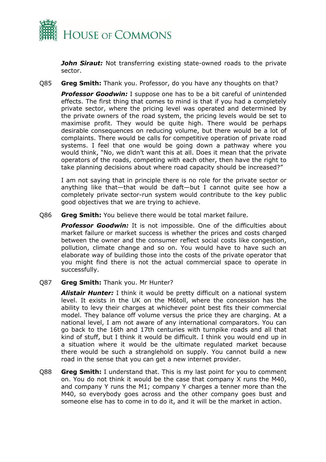

*John Siraut:* Not transferring existing state-owned roads to the private sector.

Q85 **Greg Smith:** Thank you. Professor, do you have any thoughts on that?

*Professor Goodwin:* I suppose one has to be a bit careful of unintended effects. The first thing that comes to mind is that if you had a completely private sector, where the pricing level was operated and determined by the private owners of the road system, the pricing levels would be set to maximise profit. They would be quite high. There would be perhaps desirable consequences on reducing volume, but there would be a lot of complaints. There would be calls for competitive operation of private road systems. I feel that one would be going down a pathway where you would think, "No, we didn't want this at all. Does it mean that the private operators of the roads, competing with each other, then have the right to take planning decisions about where road capacity should be increased?"

I am not saying that in principle there is no role for the private sector or anything like that—that would be daft—but I cannot quite see how a completely private sector-run system would contribute to the key public good objectives that we are trying to achieve.

Q86 **Greg Smith:** You believe there would be total market failure.

**Professor Goodwin:** It is not impossible. One of the difficulties about market failure or market success is whether the prices and costs charged between the owner and the consumer reflect social costs like congestion, pollution, climate change and so on. You would have to have such an elaborate way of building those into the costs of the private operator that you might find there is not the actual commercial space to operate in successfully.

Q87 **Greg Smith:** Thank you. Mr Hunter?

*Alistair Hunter:* I think it would be pretty difficult on a national system level. It exists in the UK on the M6toll, where the concession has the ability to levy their charges at whichever point best fits their commercial model. They balance off volume versus the price they are charging. At a national level, I am not aware of any international comparators. You can go back to the 16th and 17th centuries with turnpike roads and all that kind of stuff, but I think it would be difficult. I think you would end up in a situation where it would be the ultimate regulated market because there would be such a stranglehold on supply. You cannot build a new road in the sense that you can get a new internet provider.

Q88 **Greg Smith:** I understand that. This is my last point for you to comment on. You do not think it would be the case that company X runs the M40, and company Y runs the M1; company Y charges a tenner more than the M40, so everybody goes across and the other company goes bust and someone else has to come in to do it, and it will be the market in action.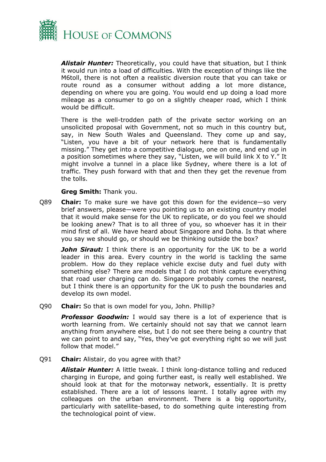

*Alistair Hunter:* Theoretically, you could have that situation, but I think it would run into a load of difficulties. With the exception of things like the M6toll, there is not often a realistic diversion route that you can take or route round as a consumer without adding a lot more distance, depending on where you are going. You would end up doing a load more mileage as a consumer to go on a slightly cheaper road, which I think would be difficult.

There is the well-trodden path of the private sector working on an unsolicited proposal with Government, not so much in this country but, say, in New South Wales and Queensland. They come up and say, "Listen, you have a bit of your network here that is fundamentally missing." They get into a competitive dialogue, one on one, and end up in a position sometimes where they say, "Listen, we will build link X to Y." It might involve a tunnel in a place like Sydney, where there is a lot of traffic. They push forward with that and then they get the revenue from the tolls.

## **Greg Smith:** Thank you.

Q89 **Chair:** To make sure we have got this down for the evidence—so very brief answers, please—were you pointing us to an existing country model that it would make sense for the UK to replicate, or do you feel we should be looking anew? That is to all three of you, so whoever has it in their mind first of all. We have heard about Singapore and Doha. Is that where you say we should go, or should we be thinking outside the box?

*John Siraut:* I think there is an opportunity for the UK to be a world leader in this area. Every country in the world is tackling the same problem. How do they replace vehicle excise duty and fuel duty with something else? There are models that I do not think capture everything that road user charging can do. Singapore probably comes the nearest, but I think there is an opportunity for the UK to push the boundaries and develop its own model.

Q90 **Chair:** So that is own model for you, John. Phillip?

**Professor Goodwin:** I would say there is a lot of experience that is worth learning from. We certainly should not say that we cannot learn anything from anywhere else, but I do not see there being a country that we can point to and say, "Yes, they've got everything right so we will just follow that model."

Q91 **Chair:** Alistair, do you agree with that?

*Alistair Hunter:* A little tweak. I think long-distance tolling and reduced charging in Europe, and going further east, is really well established. We should look at that for the motorway network, essentially. It is pretty established. There are a lot of lessons learnt. I totally agree with my colleagues on the urban environment. There is a big opportunity, particularly with satellite-based, to do something quite interesting from the technological point of view.